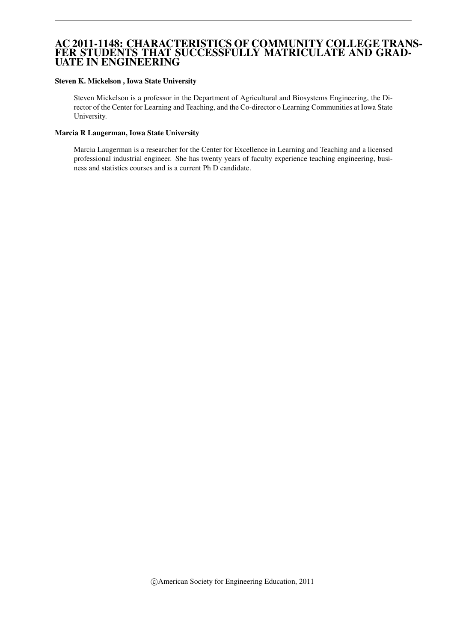# AC 2011-1148: CHARACTERISTICS OF COMMUNITY COLLEGE TRANS-FER STUDENTS THAT SUCCESSFULLY MATRICULATE AND GRAD-UATE IN ENGINEERING

#### Steven K. Mickelson , Iowa State University

Steven Mickelson is a professor in the Department of Agricultural and Biosystems Engineering, the Director of the Center for Learning and Teaching, and the Co-director o Learning Communities at Iowa State University.

### Marcia R Laugerman, Iowa State University

Marcia Laugerman is a researcher for the Center for Excellence in Learning and Teaching and a licensed professional industrial engineer. She has twenty years of faculty experience teaching engineering, business and statistics courses and is a current Ph D candidate.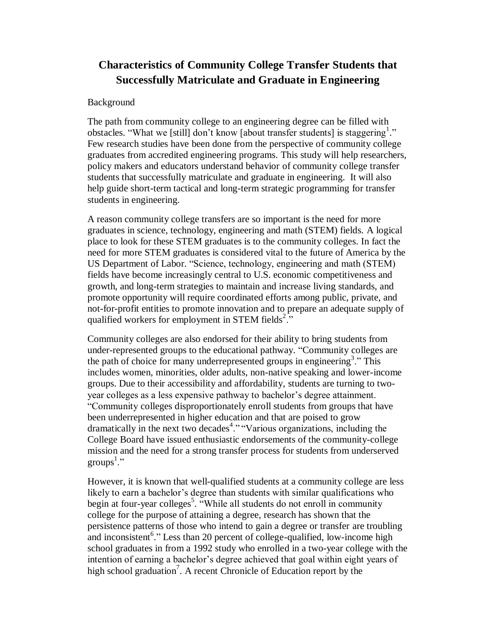# **Characteristics of Community College Transfer Students that Successfully Matriculate and Graduate in Engineering**

# Background

The path from community college to an engineering degree can be filled with obstacles. "What we [still] don't know [about transfer students] is staggering<sup>1</sup>." Few research studies have been done from the perspective of community college graduates from accredited engineering programs. This study will help researchers, policy makers and educators understand behavior of community college transfer students that successfully matriculate and graduate in engineering. It will also help guide short-term tactical and long-term strategic programming for transfer students in engineering.

A reason community college transfers are so important is the need for more graduates in science, technology, engineering and math (STEM) fields. A logical place to look for these STEM graduates is to the community colleges. In fact the need for more STEM graduates is considered vital to the future of America by the US Department of Labor. "Science, technology, engineering and math (STEM) fields have become increasingly central to U.S. economic competitiveness and growth, and long-term strategies to maintain and increase living standards, and promote opportunity will require coordinated efforts among public, private, and not-for-profit entities to promote innovation and to prepare an adequate supply of qualified workers for employment in STEM fields<sup>2</sup>."

Community colleges are also endorsed for their ability to bring students from under-represented groups to the educational pathway. "Community colleges are the path of choice for many underrepresented groups in engineering<sup>3</sup>." This includes women, minorities, older adults, non-native speaking and lower-income groups. Due to their accessibility and affordability, students are turning to twoyear colleges as a less expensive pathway to bachelor"s degree attainment. "Community colleges disproportionately enroll students from groups that have been underrepresented in higher education and that are poised to grow dramatically in the next two decades<sup>4</sup>." "Various organizations, including the College Board have issued enthusiastic endorsements of the community-college mission and the need for a strong transfer process for students from underserved groups<sup>1</sup>."

However, it is known that well-qualified students at a community college are less likely to earn a bachelor's degree than students with similar qualifications who begin at four-year colleges<sup>5</sup>. "While all students do not enroll in community college for the purpose of attaining a degree, research has shown that the persistence patterns of those who intend to gain a degree or transfer are troubling and inconsistent<sup>6</sup>." Less than 20 percent of college-qualified, low-income high school graduates in from a 1992 study who enrolled in a two-year college with the intention of earning a bachelor"s degree achieved that goal within eight years of high school graduation<sup>7</sup>. A recent Chronicle of Education report by the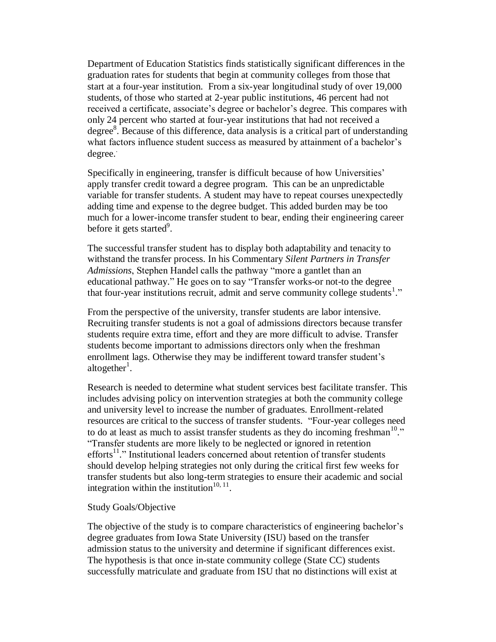Department of Education Statistics finds statistically significant differences in the graduation rates for students that begin at community colleges from those that start at a four-year institution. From a six-year longitudinal study of over 19,000 students, of those who started at 2-year public institutions, 46 percent had not received a certificate, associate's degree or bachelor's degree. This compares with only 24 percent who started at four-year institutions that had not received a degree<sup>8</sup>. Because of this difference, data analysis is a critical part of understanding what factors influence student success as measured by attainment of a bachelor's degree. .

Specifically in engineering, transfer is difficult because of how Universities' apply transfer credit toward a degree program. This can be an unpredictable variable for transfer students. A student may have to repeat courses unexpectedly adding time and expense to the degree budget. This added burden may be too much for a lower-income transfer student to bear, ending their engineering career before it gets started<sup>9</sup>.

The successful transfer student has to display both adaptability and tenacity to withstand the transfer process. In his Commentary *Silent Partners in Transfer Admissions*, Stephen Handel calls the pathway "more a gantlet than an educational pathway." He goes on to say "Transfer works-or not-to the degree that four-year institutions recruit, admit and serve community college students<sup>1</sup>."

From the perspective of the university, transfer students are labor intensive. Recruiting transfer students is not a goal of admissions directors because transfer students require extra time, effort and they are more difficult to advise. Transfer students become important to admissions directors only when the freshman enrollment lags. Otherwise they may be indifferent toward transfer student's altogether<sup>1</sup>.

Research is needed to determine what student services best facilitate transfer. This includes advising policy on intervention strategies at both the community college and university level to increase the number of graduates. Enrollment-related resources are critical to the success of transfer students. "Four-year colleges need to do at least as much to assist transfer students as they do incoming freshman $10$ ." "Transfer students are more likely to be neglected or ignored in retention efforts<sup>11</sup>." Institutional leaders concerned about retention of transfer students should develop helping strategies not only during the critical first few weeks for transfer students but also long-term strategies to ensure their academic and social integration within the institution<sup>10, 11</sup>.

## Study Goals/Objective

The objective of the study is to compare characteristics of engineering bachelor"s degree graduates from Iowa State University (ISU) based on the transfer admission status to the university and determine if significant differences exist. The hypothesis is that once in-state community college (State CC) students successfully matriculate and graduate from ISU that no distinctions will exist at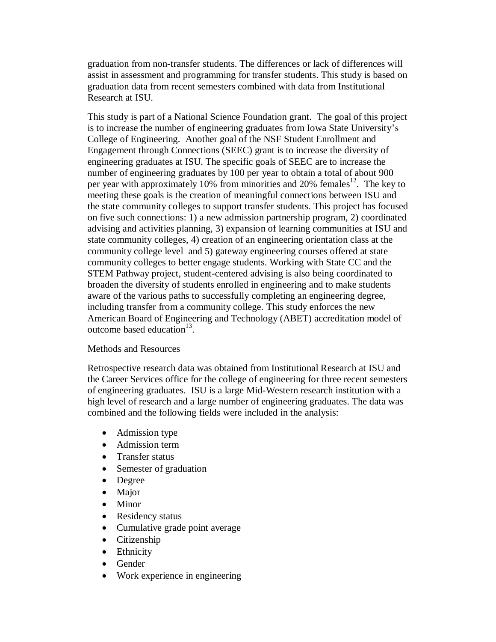graduation from non-transfer students. The differences or lack of differences will assist in assessment and programming for transfer students. This study is based on graduation data from recent semesters combined with data from Institutional Research at ISU.

This study is part of a National Science Foundation grant. The goal of this project is to increase the number of engineering graduates from Iowa State University"s College of Engineering. Another goal of the NSF Student Enrollment and Engagement through Connections (SEEC) grant is to increase the diversity of engineering graduates at ISU. The specific goals of SEEC are to increase the number of engineering graduates by 100 per year to obtain a total of about 900 per year with approximately 10% from minorities and 20% females<sup>12</sup>. The key to meeting these goals is the creation of meaningful connections between ISU and the state community colleges to support transfer students. This project has focused on five such connections: 1) a new admission partnership program, 2) coordinated advising and activities planning, 3) expansion of learning communities at ISU and state community colleges, 4) creation of an engineering orientation class at the community college level and 5) gateway engineering courses offered at state community colleges to better engage students. Working with State CC and the STEM Pathway project, student-centered advising is also being coordinated to broaden the diversity of students enrolled in engineering and to make students aware of the various paths to successfully completing an engineering degree, including transfer from a community college. This study enforces the new American Board of Engineering and Technology (ABET) accreditation model of outcome based education $13$ .

## Methods and Resources

Retrospective research data was obtained from Institutional Research at ISU and the Career Services office for the college of engineering for three recent semesters of engineering graduates. ISU is a large Mid-Western research institution with a high level of research and a large number of engineering graduates. The data was combined and the following fields were included in the analysis:

- Admission type
- Admission term
- Transfer status
- Semester of graduation
- Degree
- Major
- Minor
- Residency status
- Cumulative grade point average
- Citizenship
- Ethnicity
- Gender
- Work experience in engineering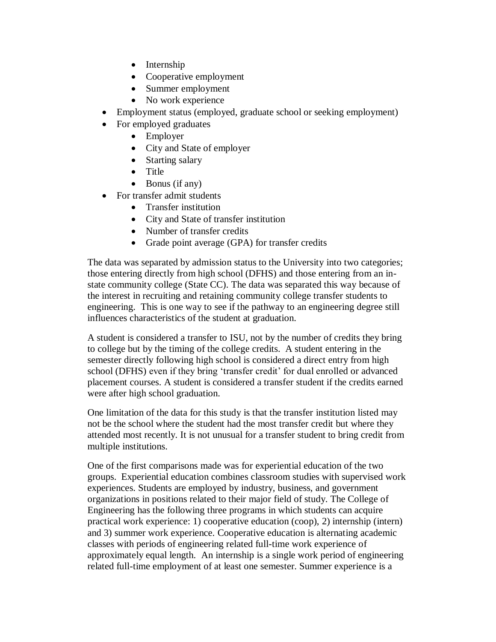- Internship
- Cooperative employment
- Summer employment
- No work experience
- Employment status (employed, graduate school or seeking employment)
- For employed graduates
	- Employer
	- City and State of employer
	- Starting salary
	- Title
	- $\bullet$  Bonus (if any)
- For transfer admit students
	- Transfer institution
	- City and State of transfer institution
	- Number of transfer credits
	- Grade point average (GPA) for transfer credits

The data was separated by admission status to the University into two categories; those entering directly from high school (DFHS) and those entering from an instate community college (State CC). The data was separated this way because of the interest in recruiting and retaining community college transfer students to engineering. This is one way to see if the pathway to an engineering degree still influences characteristics of the student at graduation.

A student is considered a transfer to ISU, not by the number of credits they bring to college but by the timing of the college credits. A student entering in the semester directly following high school is considered a direct entry from high school (DFHS) even if they bring "transfer credit" for dual enrolled or advanced placement courses. A student is considered a transfer student if the credits earned were after high school graduation.

One limitation of the data for this study is that the transfer institution listed may not be the school where the student had the most transfer credit but where they attended most recently. It is not unusual for a transfer student to bring credit from multiple institutions.

One of the first comparisons made was for experiential education of the two groups. Experiential education combines classroom studies with supervised work experiences. Students are employed by industry, business, and government organizations in positions related to their major field of study. The College of Engineering has the following three programs in which students can acquire practical work experience: 1) cooperative education (coop), 2) internship (intern) and 3) summer work experience. Cooperative education is alternating academic classes with periods of engineering related full-time work experience of approximately equal length. An internship is a single work period of engineering related full-time employment of at least one semester. Summer experience is a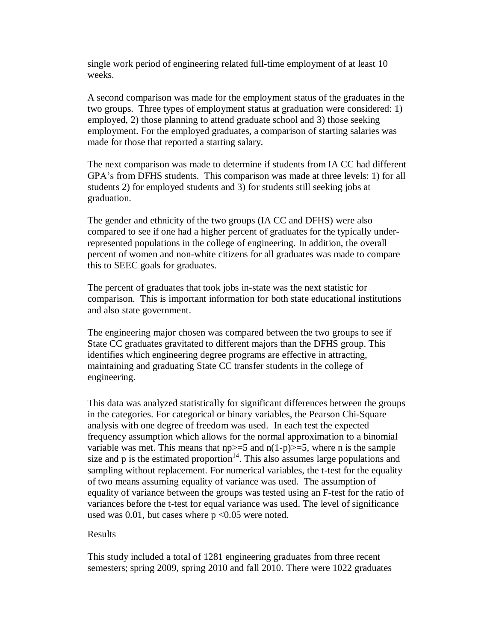single work period of engineering related full-time employment of at least 10 weeks.

A second comparison was made for the employment status of the graduates in the two groups. Three types of employment status at graduation were considered: 1) employed, 2) those planning to attend graduate school and 3) those seeking employment. For the employed graduates, a comparison of starting salaries was made for those that reported a starting salary.

The next comparison was made to determine if students from IA CC had different GPA"s from DFHS students. This comparison was made at three levels: 1) for all students 2) for employed students and 3) for students still seeking jobs at graduation.

The gender and ethnicity of the two groups (IA CC and DFHS) were also compared to see if one had a higher percent of graduates for the typically underrepresented populations in the college of engineering. In addition, the overall percent of women and non-white citizens for all graduates was made to compare this to SEEC goals for graduates.

The percent of graduates that took jobs in-state was the next statistic for comparison. This is important information for both state educational institutions and also state government.

The engineering major chosen was compared between the two groups to see if State CC graduates gravitated to different majors than the DFHS group. This identifies which engineering degree programs are effective in attracting, maintaining and graduating State CC transfer students in the college of engineering.

This data was analyzed statistically for significant differences between the groups in the categories. For categorical or binary variables, the Pearson Chi-Square analysis with one degree of freedom was used. In each test the expected frequency assumption which allows for the normal approximation to a binomial variable was met. This means that  $np \geq 5$  and  $n(1-p) \geq 5$ , where n is the sample size and  $p$  is the estimated proportion<sup>14</sup>. This also assumes large populations and sampling without replacement. For numerical variables, the t-test for the equality of two means assuming equality of variance was used. The assumption of equality of variance between the groups was tested using an F-test for the ratio of variances before the t-test for equal variance was used. The level of significance used was  $0.01$ , but cases where  $p \le 0.05$  were noted.

## Results

This study included a total of 1281 engineering graduates from three recent semesters; spring 2009, spring 2010 and fall 2010. There were 1022 graduates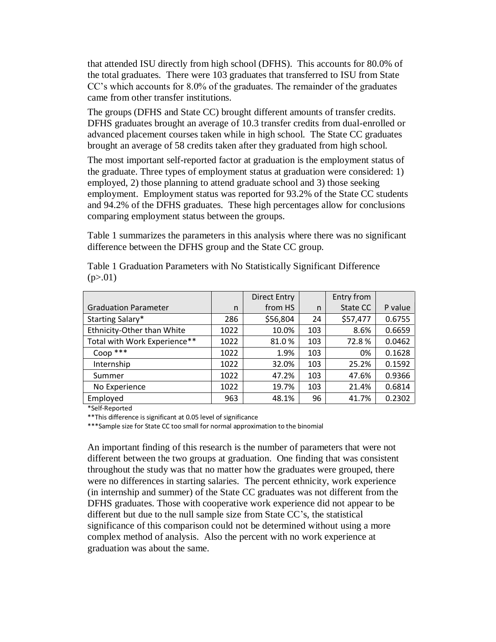that attended ISU directly from high school (DFHS). This accounts for 80.0% of the total graduates. There were 103 graduates that transferred to ISU from State CC"s which accounts for 8.0% of the graduates. The remainder of the graduates came from other transfer institutions.

The groups (DFHS and State CC) brought different amounts of transfer credits. DFHS graduates brought an average of 10.3 transfer credits from dual-enrolled or advanced placement courses taken while in high school. The State CC graduates brought an average of 58 credits taken after they graduated from high school.

The most important self-reported factor at graduation is the employment status of the graduate. Three types of employment status at graduation were considered: 1) employed, 2) those planning to attend graduate school and 3) those seeking employment. Employment status was reported for 93.2% of the State CC students and 94.2% of the DFHS graduates. These high percentages allow for conclusions comparing employment status between the groups.

Table 1 summarizes the parameters in this analysis where there was no significant difference between the DFHS group and the State CC group.

|                              |      | <b>Direct Entry</b> |     | Entry from |         |
|------------------------------|------|---------------------|-----|------------|---------|
| <b>Graduation Parameter</b>  | n    | from HS             | n   | State CC   | P value |
| Starting Salary*             | 286  | \$56,804            | 24  | \$57,477   | 0.6755  |
| Ethnicity-Other than White   | 1022 | 10.0%               | 103 | 8.6%       | 0.6659  |
| Total with Work Experience** | 1022 | 81.0%               | 103 | 72.8%      | 0.0462  |
| $Coop$ ***                   | 1022 | 1.9%                | 103 | 0%         | 0.1628  |
| Internship                   | 1022 | 32.0%               | 103 | 25.2%      | 0.1592  |
| Summer                       | 1022 | 47.2%               | 103 | 47.6%      | 0.9366  |
| No Experience                | 1022 | 19.7%               | 103 | 21.4%      | 0.6814  |
| Employed                     | 963  | 48.1%               | 96  | 41.7%      | 0.2302  |

Table 1 Graduation Parameters with No Statistically Significant Difference  $(p>0.01)$ 

\*Self-Reported

\*\*This difference is significant at 0.05 level of significance

\*\*\*Sample size for State CC too small for normal approximation to the binomial

An important finding of this research is the number of parameters that were not different between the two groups at graduation. One finding that was consistent throughout the study was that no matter how the graduates were grouped, there were no differences in starting salaries. The percent ethnicity, work experience (in internship and summer) of the State CC graduates was not different from the DFHS graduates. Those with cooperative work experience did not appear to be different but due to the null sample size from State CC"s, the statistical significance of this comparison could not be determined without using a more complex method of analysis. Also the percent with no work experience at graduation was about the same.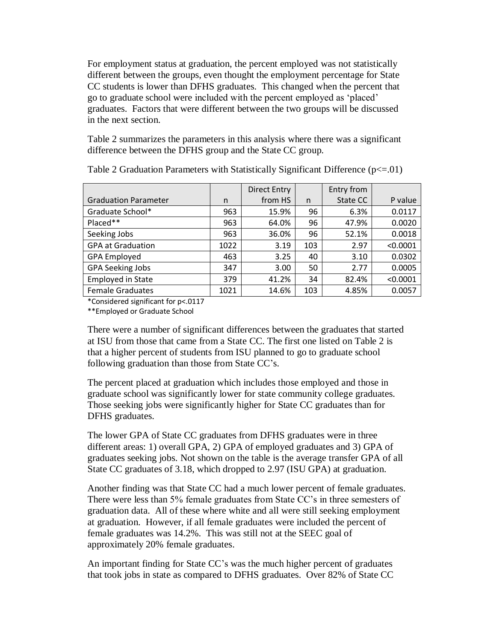For employment status at graduation, the percent employed was not statistically different between the groups, even thought the employment percentage for State CC students is lower than DFHS graduates. This changed when the percent that go to graduate school were included with the percent employed as "placed" graduates. Factors that were different between the two groups will be discussed in the next section.

Table 2 summarizes the parameters in this analysis where there was a significant difference between the DFHS group and the State CC group.

|                             |      | <b>Direct Entry</b> |     | Entry from |          |
|-----------------------------|------|---------------------|-----|------------|----------|
| <b>Graduation Parameter</b> | n    | from HS             | n   | State CC   | P value  |
| Graduate School*            | 963  | 15.9%               | 96  | 6.3%       | 0.0117   |
| Placed**                    | 963  | 64.0%               | 96  | 47.9%      | 0.0020   |
| Seeking Jobs                | 963  | 36.0%               | 96  | 52.1%      | 0.0018   |
| <b>GPA at Graduation</b>    | 1022 | 3.19                | 103 | 2.97       | < 0.0001 |
| <b>GPA Employed</b>         | 463  | 3.25                | 40  | 3.10       | 0.0302   |
| <b>GPA Seeking Jobs</b>     | 347  | 3.00                | 50  | 2.77       | 0.0005   |
| <b>Employed in State</b>    | 379  | 41.2%               | 34  | 82.4%      | < 0.0001 |
| <b>Female Graduates</b>     | 1021 | 14.6%               | 103 | 4.85%      | 0.0057   |

Table 2 Graduation Parameters with Statistically Significant Difference  $(p \le 0.01)$ 

\*Considered significant for p<.0117

\*\*Employed or Graduate School

There were a number of significant differences between the graduates that started at ISU from those that came from a State CC. The first one listed on Table 2 is that a higher percent of students from ISU planned to go to graduate school following graduation than those from State CC"s.

The percent placed at graduation which includes those employed and those in graduate school was significantly lower for state community college graduates. Those seeking jobs were significantly higher for State CC graduates than for DFHS graduates.

The lower GPA of State CC graduates from DFHS graduates were in three different areas: 1) overall GPA, 2) GPA of employed graduates and 3) GPA of graduates seeking jobs. Not shown on the table is the average transfer GPA of all State CC graduates of 3.18, which dropped to 2.97 (ISU GPA) at graduation.

Another finding was that State CC had a much lower percent of female graduates. There were less than 5% female graduates from State CC"s in three semesters of graduation data. All of these where white and all were still seeking employment at graduation. However, if all female graduates were included the percent of female graduates was 14.2%. This was still not at the SEEC goal of approximately 20% female graduates.

An important finding for State CC"s was the much higher percent of graduates that took jobs in state as compared to DFHS graduates. Over 82% of State CC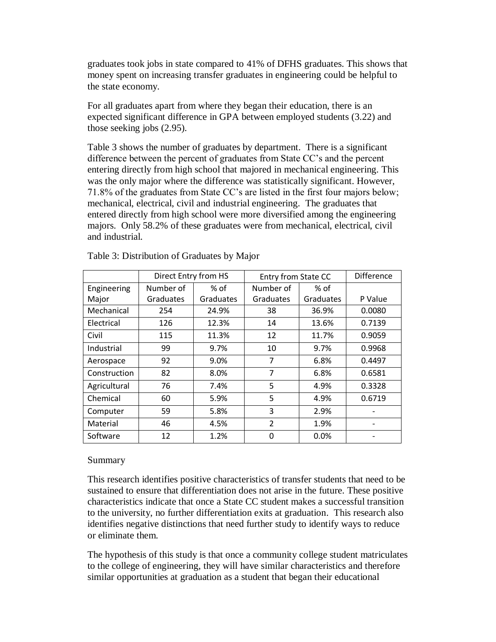graduates took jobs in state compared to 41% of DFHS graduates. This shows that money spent on increasing transfer graduates in engineering could be helpful to the state economy.

For all graduates apart from where they began their education, there is an expected significant difference in GPA between employed students (3.22) and those seeking jobs (2.95).

Table 3 shows the number of graduates by department. There is a significant difference between the percent of graduates from State CC"s and the percent entering directly from high school that majored in mechanical engineering. This was the only major where the difference was statistically significant. However, 71.8% of the graduates from State CC"s are listed in the first four majors below; mechanical, electrical, civil and industrial engineering. The graduates that entered directly from high school were more diversified among the engineering majors. Only 58.2% of these graduates were from mechanical, electrical, civil and industrial.

|              | Direct Entry from HS |           | <b>Entry from State CC</b> | <b>Difference</b> |         |
|--------------|----------------------|-----------|----------------------------|-------------------|---------|
| Engineering  | Number of            | % of      | Number of                  | $%$ of            |         |
| Major        | Graduates            | Graduates | Graduates                  | Graduates         | P Value |
| Mechanical   | 254                  | 24.9%     | 38                         | 36.9%             | 0.0080  |
| Electrical   | 126                  | 12.3%     | 14                         | 13.6%             | 0.7139  |
| Civil        | 115                  | 11.3%     | 12                         | 11.7%             | 0.9059  |
| Industrial   | 99                   | 9.7%      | 10                         | 9.7%              | 0.9968  |
| Aerospace    | 92                   | 9.0%      | 7                          | 6.8%              | 0.4497  |
| Construction | 82                   | 8.0%      | 7                          | 6.8%              | 0.6581  |
| Agricultural | 76                   | 7.4%      | 5                          | 4.9%              | 0.3328  |
| Chemical     | 60                   | 5.9%      | 5                          | 4.9%              | 0.6719  |
| Computer     | 59                   | 5.8%      | 3                          | 2.9%              |         |
| Material     | 46                   | 4.5%      | $\overline{2}$             | 1.9%              |         |
| Software     | 12                   | 1.2%      | 0                          | 0.0%              |         |

Table 3: Distribution of Graduates by Major

# Summary

This research identifies positive characteristics of transfer students that need to be sustained to ensure that differentiation does not arise in the future. These positive characteristics indicate that once a State CC student makes a successful transition to the university, no further differentiation exits at graduation. This research also identifies negative distinctions that need further study to identify ways to reduce or eliminate them.

The hypothesis of this study is that once a community college student matriculates to the college of engineering, they will have similar characteristics and therefore similar opportunities at graduation as a student that began their educational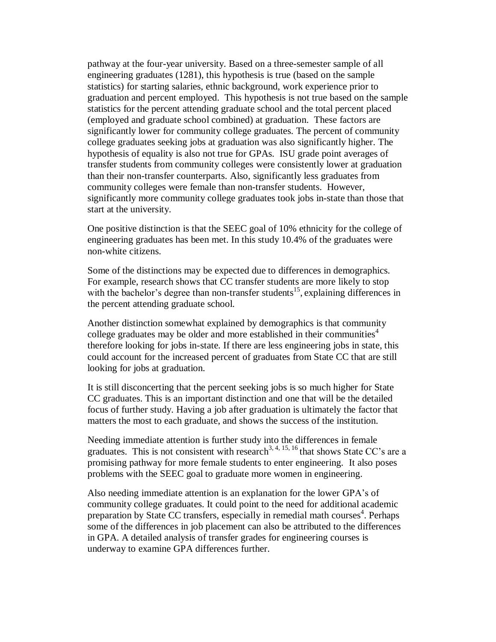pathway at the four-year university. Based on a three-semester sample of all engineering graduates (1281), this hypothesis is true (based on the sample statistics) for starting salaries, ethnic background, work experience prior to graduation and percent employed. This hypothesis is not true based on the sample statistics for the percent attending graduate school and the total percent placed (employed and graduate school combined) at graduation. These factors are significantly lower for community college graduates. The percent of community college graduates seeking jobs at graduation was also significantly higher. The hypothesis of equality is also not true for GPAs. ISU grade point averages of transfer students from community colleges were consistently lower at graduation than their non-transfer counterparts. Also, significantly less graduates from community colleges were female than non-transfer students. However, significantly more community college graduates took jobs in-state than those that start at the university.

One positive distinction is that the SEEC goal of 10% ethnicity for the college of engineering graduates has been met. In this study 10.4% of the graduates were non-white citizens.

Some of the distinctions may be expected due to differences in demographics. For example, research shows that CC transfer students are more likely to stop with the bachelor's degree than non-transfer students<sup>15</sup>, explaining differences in the percent attending graduate school.

Another distinction somewhat explained by demographics is that community college graduates may be older and more established in their communities<sup>4</sup> therefore looking for jobs in-state. If there are less engineering jobs in state, this could account for the increased percent of graduates from State CC that are still looking for jobs at graduation.

It is still disconcerting that the percent seeking jobs is so much higher for State CC graduates. This is an important distinction and one that will be the detailed focus of further study. Having a job after graduation is ultimately the factor that matters the most to each graduate, and shows the success of the institution.

Needing immediate attention is further study into the differences in female graduates. This is not consistent with research<sup>3, 4, 15, 16</sup> that shows State CC's are a promising pathway for more female students to enter engineering. It also poses problems with the SEEC goal to graduate more women in engineering.

Also needing immediate attention is an explanation for the lower GPA"s of community college graduates. It could point to the need for additional academic preparation by State CC transfers, especially in remedial math courses<sup>4</sup>. Perhaps some of the differences in job placement can also be attributed to the differences in GPA. A detailed analysis of transfer grades for engineering courses is underway to examine GPA differences further.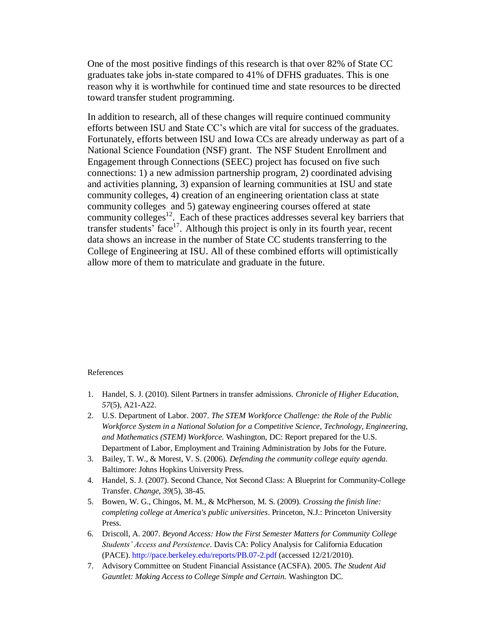One of the most positive findings of this research is that over 82% of State CC graduates take jobs in-state compared to 41% of DFHS graduates. This is one reason why it is worthwhile for continued time and state resources to be directed toward transfer student programming.

In addition to research, all of these changes will require continued community efforts between ISU and State CC"s which are vital for success of the graduates. Fortunately, efforts between ISU and Iowa CCs are already underway as part of a National Science Foundation (NSF) grant. The NSF Student Enrollment and Engagement through Connections (SEEC) project has focused on five such connections: 1) a new admission partnership program, 2) coordinated advising and activities planning, 3) expansion of learning communities at ISU and state community colleges, 4) creation of an engineering orientation class at state community colleges and 5) gateway engineering courses offered at state community colleges $12$ . Each of these practices addresses several key barriers that transfer students' face<sup>17</sup>. Although this project is only in its fourth year, recent data shows an increase in the number of State CC students transferring to the College of Engineering at ISU. All of these combined efforts will optimistically allow more of them to matriculate and graduate in the future.

#### References

- 1. Handel, S. J. (2010). Silent Partners in transfer admissions. *Chronicle of Higher Education*, *57*(5), A21-A22.
- 2. U.S. Department of Labor. 2007. *The STEM Workforce Challenge: the Role of the Public Workforce System in a National Solution for a Competitive Science, Technology, Engineering, and Mathematics (STEM) Workforce.* Washington, DC: Report prepared for the U.S. Department of Labor, Employment and Training Administration by Jobs for the Future.
- 3. Bailey, T. W., & Morest, V. S. (2006). *Defending the community college equity agenda.*  Baltimore: Johns Hopkins University Press.
- 4. Handel, S. J. (2007). Second Chance, Not Second Class: A Blueprint for Community-College Transfer. *Change*, *39*(5), 38-45.
- 5. Bowen, W. G., Chingos, M. M., & McPherson, M. S. (2009). *Crossing the finish line: completing college at America's public universities*. Princeton, N.J.: Princeton University Press.
- 6. Driscoll, A. 2007. *Beyond Access: How the First Semester Matters for Community College Students' Access and Persistence*. Davis CA: Policy Analysis for California Education (PACE). http://pace.berkeley.edu/reports/PB.07-2.pdf (accessed 12/21/2010).
- 7. Advisory Committee on Student Financial Assistance (ACSFA). 2005. *The Student Aid Gauntlet: Making Access to College Simple and Certain.* Washington DC.